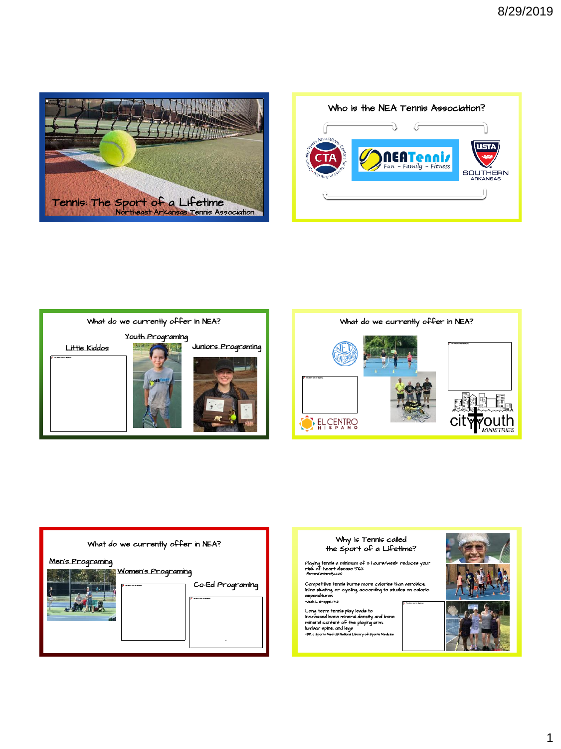







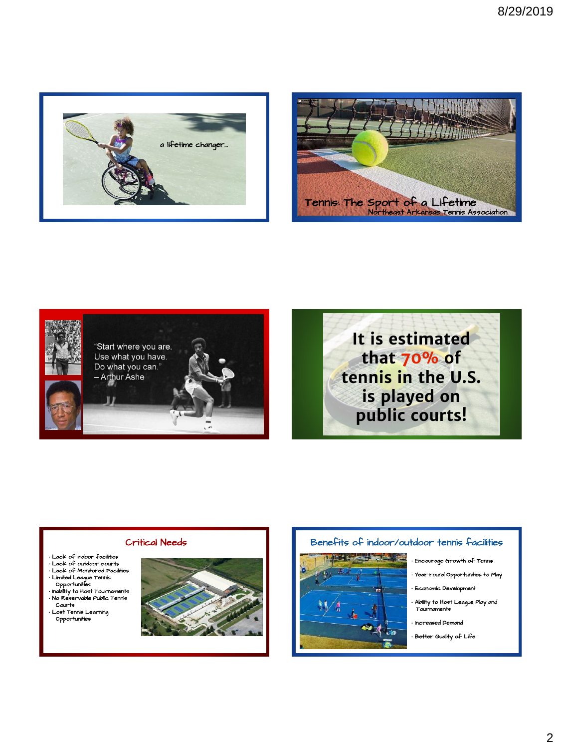







## Critical Needs

- of indoor fa
- Lack of outdoor courts Lack of Monitored Facilities
- Limited League Tennis Opportunities
- 
- Inability to Host Tournaments No Reservable Public Tennis Courts
- Lost Tennis Learning Opportunities



## Benefits of indoor/outdoor tennis facilities

- - Encourage Growth of Tennis
	- Year-round Opportunities to Play
	- Economic Development
	- Ability to Host League Play and Tournaments
	- Increased Demand
	- Better Quality of Life